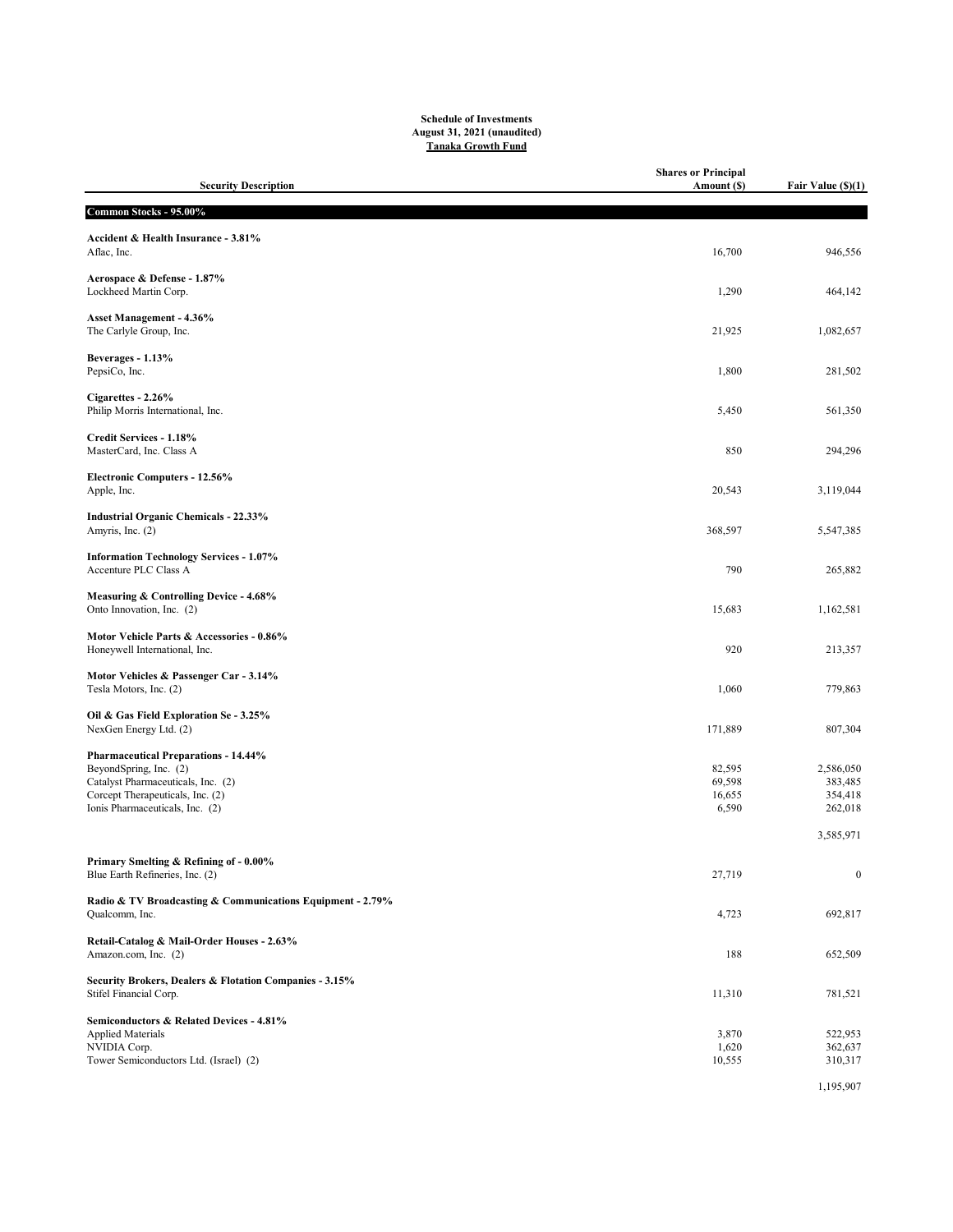## Schedule of Investments August 31, 2021 (unaudited) Tanaka Growth Fund

| <b>Security Description</b>                                                                                                                                                        | <b>Shares or Principal</b><br>Amount (\$) | Fair Value (\$)(1)                         |
|------------------------------------------------------------------------------------------------------------------------------------------------------------------------------------|-------------------------------------------|--------------------------------------------|
| Common Stocks - 95.00%                                                                                                                                                             |                                           |                                            |
| Accident & Health Insurance - 3.81%<br>Aflac, Inc.                                                                                                                                 | 16,700                                    | 946,556                                    |
| Aerospace & Defense - 1.87%<br>Lockheed Martin Corp.                                                                                                                               | 1,290                                     | 464,142                                    |
| Asset Management - 4.36%<br>The Carlyle Group, Inc.                                                                                                                                | 21,925                                    | 1,082,657                                  |
| Beverages - 1.13%<br>PepsiCo, Inc.                                                                                                                                                 | 1,800                                     | 281,502                                    |
| Cigarettes - 2.26%<br>Philip Morris International, Inc.                                                                                                                            | 5,450                                     | 561,350                                    |
| Credit Services - 1.18%<br>MasterCard, Inc. Class A                                                                                                                                | 850                                       | 294,296                                    |
| <b>Electronic Computers - 12.56%</b><br>Apple, Inc.                                                                                                                                | 20,543                                    | 3,119,044                                  |
| <b>Industrial Organic Chemicals - 22.33%</b><br>Amyris, Inc. (2)                                                                                                                   | 368,597                                   | 5,547,385                                  |
| <b>Information Technology Services - 1.07%</b><br>Accenture PLC Class A                                                                                                            | 790                                       | 265,882                                    |
| Measuring & Controlling Device - 4.68%<br>Onto Innovation, Inc. (2)                                                                                                                | 15,683                                    | 1,162,581                                  |
| Motor Vehicle Parts & Accessories - 0.86%<br>Honeywell International, Inc.                                                                                                         | 920                                       | 213,357                                    |
| Motor Vehicles & Passenger Car - 3.14%<br>Tesla Motors, Inc. (2)                                                                                                                   | 1,060                                     | 779,863                                    |
| Oil & Gas Field Exploration Se - 3.25%<br>NexGen Energy Ltd. (2)                                                                                                                   | 171,889                                   | 807,304                                    |
| <b>Pharmaceutical Preparations - 14.44%</b><br>BeyondSpring, Inc. (2)<br>Catalyst Pharmaceuticals, Inc. (2)<br>Corcept Therapeuticals, Inc. (2)<br>Ionis Pharmaceuticals, Inc. (2) | 82,595<br>69,598<br>16,655<br>6,590       | 2,586,050<br>383,485<br>354,418<br>262,018 |
|                                                                                                                                                                                    |                                           | 3,585,971                                  |
| Primary Smelting & Refining of - 0.00%<br>Blue Earth Refineries, Inc. (2)                                                                                                          | 27,719                                    | $\boldsymbol{0}$                           |
| Radio & TV Broadcasting & Communications Equipment - 2.79%<br>Qualcomm, Inc.                                                                                                       | 4,723                                     | 692,817                                    |
| Retail-Catalog & Mail-Order Houses - 2.63%<br>Amazon.com, Inc. (2)                                                                                                                 | 188                                       | 652,509                                    |
| Security Brokers, Dealers & Flotation Companies - 3.15%<br>Stifel Financial Corp.                                                                                                  | 11,310                                    | 781,521                                    |
| Semiconductors & Related Devices - 4.81%<br><b>Applied Materials</b><br>NVIDIA Corp.<br>Tower Semiconductors Ltd. (Israel) (2)                                                     | 3,870<br>1,620<br>10,555                  | 522,953<br>362,637<br>310,317              |